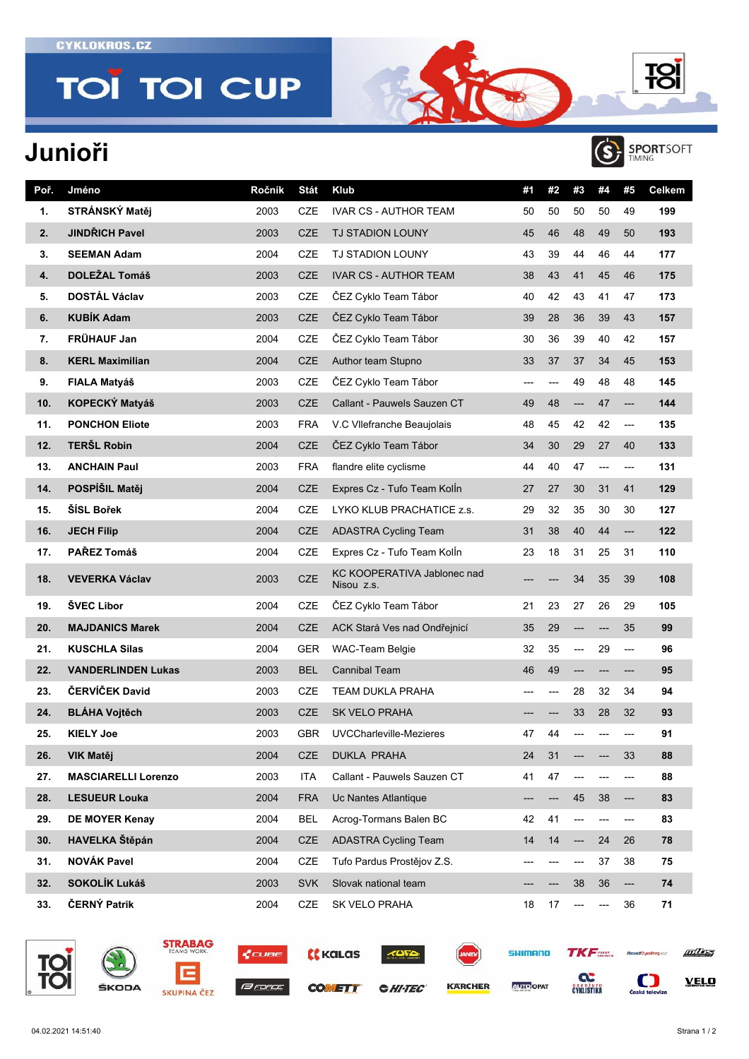**TOÏ TOI CUP** 

## **Junioři**





| Poř. | Jméno                      | Ročník | Stát       | Klub                                      | #1  | #2  | #3    | #4  | #5                       | Celkem |
|------|----------------------------|--------|------------|-------------------------------------------|-----|-----|-------|-----|--------------------------|--------|
| 1.   | STRÁNSKÝ Matěj             | 2003   | <b>CZE</b> | <b>IVAR CS - AUTHOR TEAM</b>              | 50  | 50  | 50    | 50  | 49                       | 199    |
| 2.   | <b>JINDŘICH Pavel</b>      | 2003   | <b>CZE</b> | <b>TJ STADION LOUNY</b>                   | 45  | 46  | 48    | 49  | 50                       | 193    |
| 3.   | <b>SEEMAN Adam</b>         | 2004   | CZE        | <b>TJ STADION LOUNY</b>                   | 43  | 39  | 44    | 46  | 44                       | 177    |
| 4.   | <b>DOLEŽAL Tomáš</b>       | 2003   | <b>CZE</b> | <b>IVAR CS - AUTHOR TEAM</b>              | 38  | 43  | 41    | 45  | 46                       | 175    |
| 5.   | <b>DOSTÁL Václav</b>       | 2003   | <b>CZE</b> | ČEZ Cyklo Team Tábor                      | 40  | 42  | 43    | 41  | 47                       | 173    |
| 6.   | <b>KUBÍK Adam</b>          | 2003   | <b>CZE</b> | ČEZ Cyklo Team Tábor                      | 39  | 28  | 36    | 39  | 43                       | 157    |
| 7.   | FRÜHAUF Jan                | 2004   | <b>CZE</b> | ČEZ Cyklo Team Tábor                      | 30  | 36  | 39    | 40  | 42                       | 157    |
| 8.   | <b>KERL Maximilian</b>     | 2004   | <b>CZE</b> | Author team Stupno                        | 33  | 37  | 37    | 34  | 45                       | 153    |
| 9.   | <b>FIALA Matyáš</b>        | 2003   | <b>CZE</b> | ČEZ Cyklo Team Tábor                      | --- | --- | 49    | 48  | 48                       | 145    |
| 10.  | KOPECKÝ Matyáš             | 2003   | <b>CZE</b> | Callant - Pauwels Sauzen CT               | 49  | 48  | ---   | 47  | ---                      | 144    |
| 11.  | <b>PONCHON Eliote</b>      | 2003   | <b>FRA</b> | V.C VIIefranche Beaujolais                | 48  | 45  | 42    | 42  | ---                      | 135    |
| 12.  | <b>TERŠL Robin</b>         | 2004   | <b>CZE</b> | ČEZ Cyklo Team Tábor                      | 34  | 30  | 29    | 27  | 40                       | 133    |
| 13.  | <b>ANCHAIN Paul</b>        | 2003   | FRA        | flandre elite cyclisme                    | 44  | 40  | 47    | --- | ---                      | 131    |
| 14.  | POSPÍŠIL Matěj             | 2004   | <b>CZE</b> | Expres Cz - Tufo Team Kolln               | 27  | 27  | 30    | 31  | 41                       | 129    |
| 15.  | ŠÍSL Bořek                 | 2004   | <b>CZE</b> | LYKO KLUB PRACHATICE z.s.                 | 29  | 32  | 35    | 30  | 30                       | 127    |
| 16.  | <b>JECH Filip</b>          | 2004   | <b>CZE</b> | <b>ADASTRA Cycling Team</b>               | 31  | 38  | 40    | 44  | ---                      | 122    |
| 17.  | PAŘEZ Tomáš                | 2004   | CZE        | Expres Cz - Tufo Team Kolln               | 23  | 18  | 31    | 25  | 31                       | 110    |
| 18.  | <b>VEVERKA Václav</b>      | 2003   | CZE        | KC KOOPERATIVA Jablonec nad<br>Nisou z.s. | --- |     | 34    | 35  | 39                       | 108    |
| 19.  | ŠVEC Libor                 | 2004   | <b>CZE</b> | ČEZ Cyklo Team Tábor                      | 21  | 23  | 27    | 26  | 29                       | 105    |
| 20.  | <b>MAJDANICS Marek</b>     | 2004   | <b>CZE</b> | ACK Stará Ves nad Ondřejnicí              | 35  | 29  | ---   | --- | 35                       | 99     |
| 21.  | <b>KUSCHLA Silas</b>       | 2004   | <b>GER</b> | <b>WAC-Team Belgie</b>                    | 32  | 35  | ---   | 29  | ---                      | 96     |
| 22.  | <b>VANDERLINDEN Lukas</b>  | 2003   | <b>BEL</b> | <b>Cannibal Team</b>                      | 46  | 49  | $---$ | --- | ---                      | 95     |
| 23.  | ČERVÍČEK David             | 2003   | CZE        | <b>TEAM DUKLA PRAHA</b>                   | --- | --- | 28    | 32  | 34                       | 94     |
| 24.  | <b>BLÁHA Vojtěch</b>       | 2003   | <b>CZE</b> | <b>SK VELO PRAHA</b>                      |     |     | 33    | 28  | 32                       | 93     |
| 25.  | <b>KIELY Joe</b>           | 2003   | <b>GBR</b> | UVCCharleville-Mezieres                   | 47  | 44  |       |     | ---                      | 91     |
| 26.  | VIK Matěj                  | 2004   | <b>CZE</b> | <b>DUKLA PRAHA</b>                        | 24  | 31  |       |     | 33                       | 88     |
| 27.  | <b>MASCIARELLI Lorenzo</b> | 2003   | <b>ITA</b> | Callant - Pauwels Sauzen CT               | 41  | 47  | ---   | --- | ---                      | 88     |
| 28.  | <b>LESUEUR Louka</b>       | 2004   | <b>FRA</b> | Uc Nantes Atlantique                      |     |     | 45    | 38  | ---                      | 83     |
| 29.  | DE MOYER Kenay             | 2004   | <b>BEL</b> | Acrog-Tormans Balen BC                    | 42  | 41  |       | --- | ---                      | 83     |
| 30.  | HAVELKA Štěpán             | 2004   | <b>CZE</b> | <b>ADASTRA Cycling Team</b>               | 14  | 14  | ---   | 24  | 26                       | 78     |
| 31.  | <b>NOVÁK Pavel</b>         | 2004   | CZE        | Tufo Pardus Prostějov Z.S.                | --- |     | ---   | 37  | 38                       | 75     |
| 32.  | SOKOLÍK Lukáš              | 2003   | <b>SVK</b> | Slovak national team                      | --- |     | 38    | 36  | $\overline{\phantom{a}}$ | 74     |
| 33.  | ČERNÝ Patrik               | 2004   | CZE        | SK VELO PRAHA                             | 18  | 17  | ---   | --- | 36                       | 71     |



|       | <b>STRABAG</b><br>TEAMS WORK. |  |  |  |  |
|-------|-------------------------------|--|--|--|--|
|       |                               |  |  |  |  |
| ŠKODA |                               |  |  |  |  |







**CHI-TEC** 



**KARCHER** 



**AUTO OPAT** 

**CYKLISTIKA** 



 $\sum_{\text{Ceská televize}}$ 

**VELO**